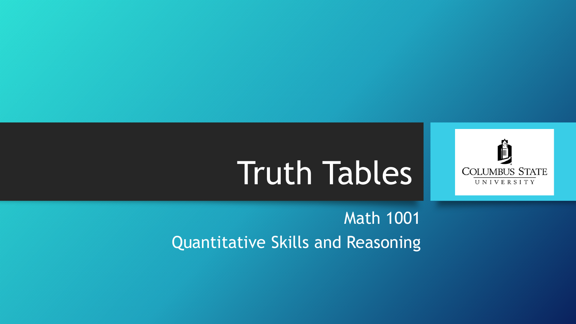

### Math 1001 Quantitative Skills and Reasoning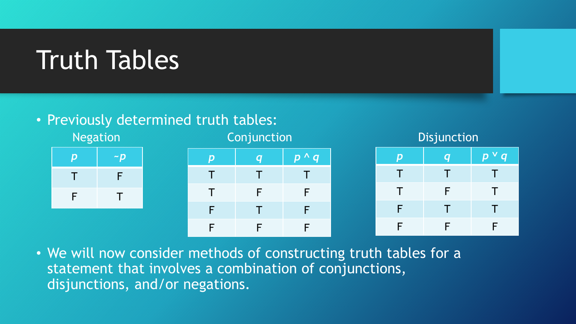### • Previously determined truth tables:







• We will now consider methods of constructing truth tables for a statement that involves a combination of conjunctions, disjunctions, and/or negations.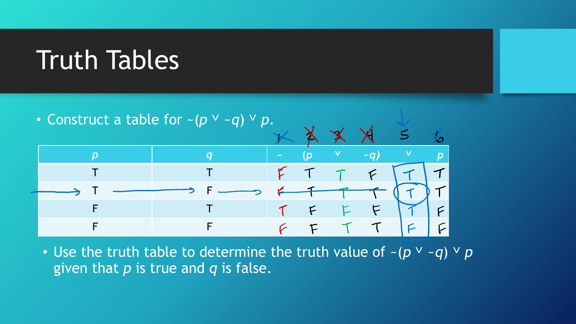• Construct a table for  $\sim (p \vee \neg q) \vee p$ .  $\leq$ က္ပြ *p q* **~ (***p* **˅** *~q)* **˅** *p*  T T  $\mathcal{F}$ T F  $F$  $T$  F  $F$ F T  $\tau$ F F  $\mathcal{L}$  $F$ 

• Use the truth table to determine the truth value of  $\sim (p \vee \sim q) \vee p$ given that *p* is true and *q* is false.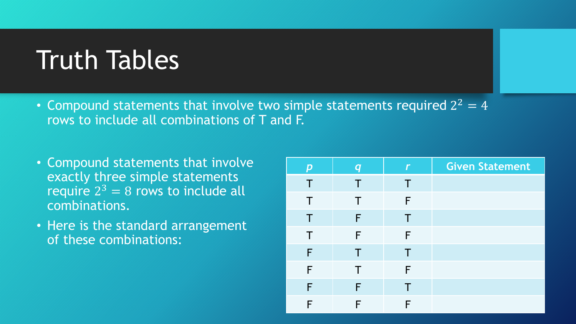- Compound statements that involve two simple statements required  $2^2 = 4$ rows to include all combinations of T and F.
- Compound statements that involve exactly three simple statements require  $2^3 = 8$  rows to include all combinations.
- Here is the standard arrangement of these combinations:

| $\boldsymbol{p}$ | $\boldsymbol{q}$ | Г | <b>Given Statement</b> |
|------------------|------------------|---|------------------------|
| $\top$           | Τ                | Т |                        |
| $\top$           | Τ                | F |                        |
| $\top$           | F                | Τ |                        |
| $\top$           | F                | F |                        |
| F                | Τ                | Τ |                        |
| F                | $\top$           | F |                        |
| F                | F                | Τ |                        |
| F                | F                | F |                        |